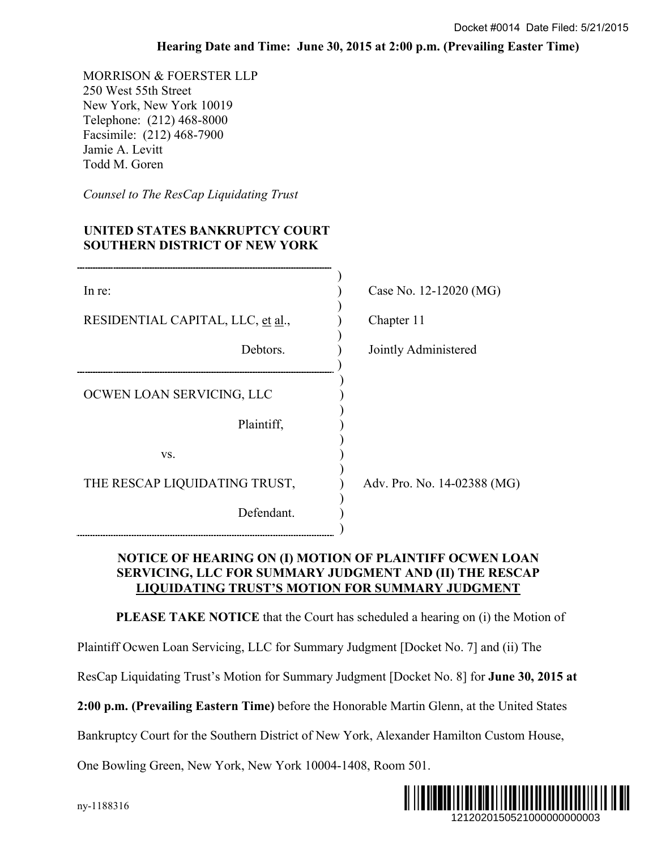## **Hearing Date and Time: June 30, 2015 at 2:00 p.m. (Prevailing Easter Time)**

## **UNITED STATES BANKRUPTCY COURT SOUTHERN DISTRICT OF NEW YORK**

|                                                                                                                                                                           | Docket #0014 Date Filed: 5/21/2015                                                                                                                                           |
|---------------------------------------------------------------------------------------------------------------------------------------------------------------------------|------------------------------------------------------------------------------------------------------------------------------------------------------------------------------|
|                                                                                                                                                                           | Hearing Date and Time: June 30, 2015 at 2:00 p.m. (Prevailing Easter Time)                                                                                                   |
| MORRISON & FOERSTER LLP<br>250 West 55th Street<br>New York, New York 10019<br>Telephone: (212) 468-8000<br>Facsimile: (212) 468-7900<br>Jamie A. Levitt<br>Todd M. Goren |                                                                                                                                                                              |
| Counsel to The ResCap Liquidating Trust                                                                                                                                   |                                                                                                                                                                              |
| UNITED STATES BANKRUPTCY COURT<br><b>SOUTHERN DISTRICT OF NEW YORK</b>                                                                                                    |                                                                                                                                                                              |
| In re:                                                                                                                                                                    | Case No. 12-12020 (MG)                                                                                                                                                       |
| RESIDENTIAL CAPITAL, LLC, et al.,                                                                                                                                         | Chapter 11                                                                                                                                                                   |
| Debtors.                                                                                                                                                                  | Jointly Administered                                                                                                                                                         |
| OCWEN LOAN SERVICING, LLC                                                                                                                                                 |                                                                                                                                                                              |
| Plaintiff,                                                                                                                                                                |                                                                                                                                                                              |
| VS.                                                                                                                                                                       |                                                                                                                                                                              |
| THE RESCAP LIQUIDATING TRUST,                                                                                                                                             | Adv. Pro. No. 14-02388 (MG)                                                                                                                                                  |
| Defendant.                                                                                                                                                                |                                                                                                                                                                              |
|                                                                                                                                                                           | NOTICE OF HEARING ON (I) MOTION OF PLAINTIFF OCWEN LOAN<br>SERVICING, LLC FOR SUMMARY JUDGMENT AND (II) THE RESCAP<br><b>LIQUIDATING TRUST'S MOTION FOR SUMMARY JUDGMENT</b> |
|                                                                                                                                                                           | <b>PLEASE TAKE NOTICE</b> that the Court has scheduled a hearing on (i) the Motion of                                                                                        |
| Plaintiff Ocwen Loan Servicing, LLC for Summary Judgment [Docket No. 7] and (ii) The                                                                                      |                                                                                                                                                                              |
|                                                                                                                                                                           | ResCap Liquidating Trust's Motion for Summary Judgment [Docket No. 8] for June 30, 2015 at                                                                                   |
|                                                                                                                                                                           | 2:00 p.m. (Prevailing Eastern Time) before the Honorable Martin Glenn, at the United States                                                                                  |
|                                                                                                                                                                           | Bankruptcy Court for the Southern District of New York, Alexander Hamilton Custom House,                                                                                     |
| One Bowling Green, New York, New York 10004-1408, Room 501.                                                                                                               |                                                                                                                                                                              |
| ny-1188316                                                                                                                                                                | 1212020150521000000000003                                                                                                                                                    |

## **NOTICE OF HEARING ON (I) MOTION OF PLAINTIFF OCWEN LOAN SERVICING, LLC FOR SUMMARY JUDGMENT AND (II) THE RESCAP LIQUIDATING TRUST'S MOTION FOR SUMMARY JUDGMENT**